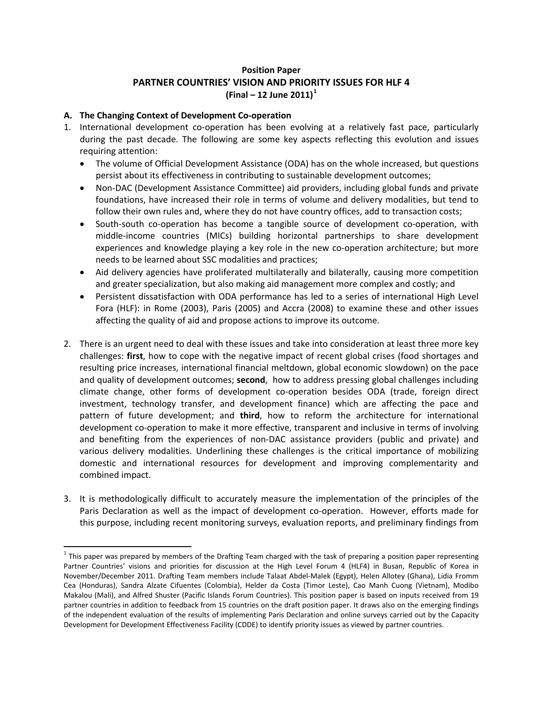# **Position Paper PARTNER COUNTRIES' VISION AND PRIORITY ISSUES FOR HLF 4 (Final – 12 June 2011)[1](#page-0-0)**

## **A. The Changing Context of Development Co‐operation**

- 1. International development co-operation has been evolving at a relatively fast pace, particularly during the past decade. The following are some key aspects reflecting this evolution and issues requiring attention:
	- The volume of Official Development Assistance (ODA) has on the whole increased, but questions persist about its effectiveness in contributing to sustainable development outcomes;
	- Non‐DAC (Development Assistance Committee) aid providers, including global funds and private foundations, have increased their role in terms of volume and delivery modalities, but tend to follow their own rules and, where they do not have country offices, add to transaction costs;
	- South‐south co‐operation has become a tangible source of development co‐operation, with middle‐income countries (MICs) building horizontal partnerships to share development experiences and knowledge playing a key role in the new co-operation architecture; but more needs to be learned about SSC modalities and practices;
	- Aid delivery agencies have proliferated multilaterally and bilaterally, causing more competition and greater specialization, but also making aid management more complex and costly; and
	- Persistent dissatisfaction with ODA performance has led to a series of international High Level Fora (HLF): in Rome (2003), Paris (2005) and Accra (2008) to examine these and other issues affecting the quality of aid and propose actions to improve its outcome.
- 2. There is an urgent need to deal with these issues and take into consideration at least three more key challenges: **first**, how to cope with the negative impact of recent global crises (food shortages and resulting price increases, international financial meltdown, global economic slowdown) on the pace and quality of development outcomes; **second**, how to address pressing global challenges including climate change, other forms of development co‐operation besides ODA (trade, foreign direct investment, technology transfer, and development finance) which are affecting the pace and pattern of future development; and **third**, how to reform the architecture for international development co-operation to make it more effective, transparent and inclusive in terms of involving and benefiting from the experiences of non‐DAC assistance providers (public and private) and various delivery modalities. Underlining these challenges is the critical importance of mobilizing domestic and international resources for development and improving complementarity and combined impact.
- 3. It is methodologically difficult to accurately measure the implementation of the principles of the Paris Declaration as well as the impact of development co-operation. However, efforts made for this purpose, including recent monitoring surveys, evaluation reports, and preliminary findings from

<span id="page-0-0"></span> $1$  This paper was prepared by members of the Drafting Team charged with the task of preparing a position paper representing Partner Countries' visions and priorities for discussion at the High Level Forum 4 (HLF4) in Busan, Republic of Korea in November/December 2011. Drafting Team members include Talaat Abdel‐Malek (Egypt), Helen Allotey (Ghana), Lidia Fromm Cea (Honduras), Sandra Alzate Cifuentes (Colombia), Helder da Costa (Timor Leste), Cao Manh Cuong (Vietnam), Modibo Makalou (Mali), and Alfred Shuster (Pacific Islands Forum Countries). This position paper is based on inputs received from 19 partner countries in addition to feedback from 15 countries on the draft position paper. It draws also on the emerging findings of the independent evaluation of the results of implementing Paris Declaration and online surveys carried out by the Capacity Development for Development Effectiveness Facility (CDDE) to identify priority issues as viewed by partner countries.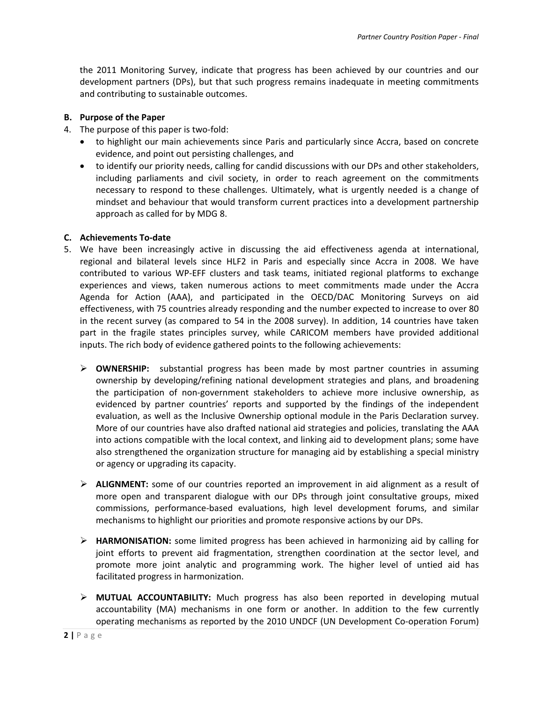the 2011 Monitoring Survey, indicate that progress has been achieved by our countries and our development partners (DPs), but that such progress remains inadequate in meeting commitments and contributing to sustainable outcomes.

#### **B. Purpose of the Paper**

- 4. The purpose of this paper is two-fold:
	- to highlight our main achievements since Paris and particularly since Accra, based on concrete evidence, and point out persisting challenges, and
	- to identify our priority needs, calling for candid discussions with our DPs and other stakeholders, including parliaments and civil society, in order to reach agreement on the commitments necessary to respond to these challenges. Ultimately, what is urgently needed is a change of mindset and behaviour that would transform current practices into a development partnership approach as called for by MDG 8.

#### **C. Achievements To‐date**

- 5. We have been increasingly active in discussing the aid effectiveness agenda at international, regional and bilateral levels since HLF2 in Paris and especially since Accra in 2008. We have contributed to various WP‐EFF clusters and task teams, initiated regional platforms to exchange experiences and views, taken numerous actions to meet commitments made under the Accra Agenda for Action (AAA), and participated in the OECD/DAC Monitoring Surveys on aid effectiveness, with 75 countries already responding and the number expected to increase to over 80 in the recent survey (as compared to 54 in the 2008 survey). In addition, 14 countries have taken part in the fragile states principles survey, while CARICOM members have provided additional inputs. The rich body of evidence gathered points to the following achievements:
	- ¾ **OWNERSHIP:** substantial progress has been made by most partner countries in assuming ownership by developing/refining national development strategies and plans, and broadening the participation of non‐government stakeholders to achieve more inclusive ownership, as evidenced by partner countries' reports and supported by the findings of the independent evaluation, as well as the Inclusive Ownership optional module in the Paris Declaration survey. More of our countries have also drafted national aid strategies and policies, translating the AAA into actions compatible with the local context, and linking aid to development plans; some have also strengthened the organization structure for managing aid by establishing a special ministry or agency or upgrading its capacity.
	- ¾ **ALIGNMENT:** some of our countries reported an improvement in aid alignment as a result of more open and transparent dialogue with our DPs through joint consultative groups, mixed commissions, performance‐based evaluations, high level development forums, and similar mechanisms to highlight our priorities and promote responsive actions by our DPs.
	- ¾ **HARMONISATION:** some limited progress has been achieved in harmonizing aid by calling for joint efforts to prevent aid fragmentation, strengthen coordination at the sector level, and promote more joint analytic and programming work. The higher level of untied aid has facilitated progress in harmonization.
	- ¾ **MUTUAL ACCOUNTABILITY:** Much progress has also been reported in developing mutual accountability (MA) mechanisms in one form or another. In addition to the few currently operating mechanisms as reported by the 2010 UNDCF (UN Development Co‐operation Forum)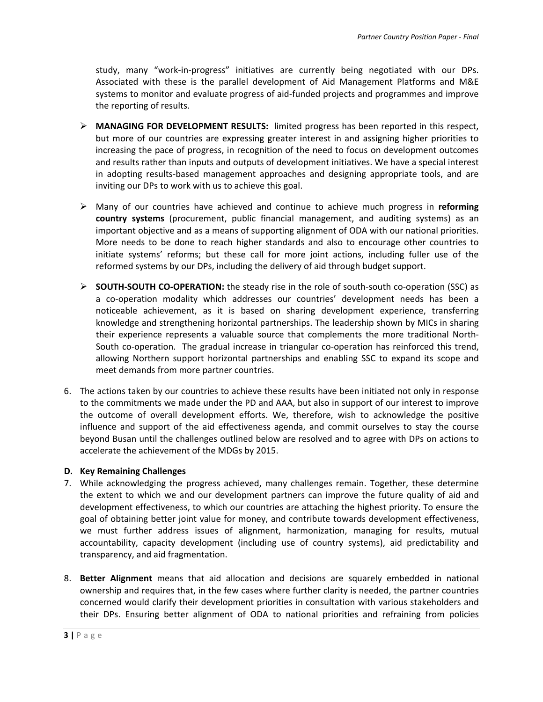study, many "work-in-progress" initiatives are currently being negotiated with our DPs. Associated with these is the parallel development of Aid Management Platforms and M&E systems to monitor and evaluate progress of aid-funded projects and programmes and improve the reporting of results.

- ¾ **MANAGING FOR DEVELOPMENT RESULTS:** limited progress has been reported in this respect, but more of our countries are expressing greater interest in and assigning higher priorities to increasing the pace of progress, in recognition of the need to focus on development outcomes and results rather than inputs and outputs of development initiatives. We have a special interest in adopting results‐based management approaches and designing appropriate tools, and are inviting our DPs to work with us to achieve this goal.
- ¾ Many of our countries have achieved and continue to achieve much progress in **reforming country systems** (procurement, public financial management, and auditing systems) as an important objective and as a means of supporting alignment of ODA with our national priorities. More needs to be done to reach higher standards and also to encourage other countries to initiate systems' reforms; but these call for more joint actions, including fuller use of the reformed systems by our DPs, including the delivery of aid through budget support.
- ¾ **SOUTH‐SOUTH CO‐OPERATION:** the steady rise in the role of south‐south co‐operation (SSC) as a co-operation modality which addresses our countries' development needs has been a noticeable achievement, as it is based on sharing development experience, transferring knowledge and strengthening horizontal partnerships. The leadership shown by MICs in sharing their experience represents a valuable source that complements the more traditional North‐ South co-operation. The gradual increase in triangular co-operation has reinforced this trend, allowing Northern support horizontal partnerships and enabling SSC to expand its scope and meet demands from more partner countries.
- 6. The actions taken by our countries to achieve these results have been initiated not only in response to the commitments we made under the PD and AAA, but also in support of our interest to improve the outcome of overall development efforts. We, therefore, wish to acknowledge the positive influence and support of the aid effectiveness agenda, and commit ourselves to stay the course beyond Busan until the challenges outlined below are resolved and to agree with DPs on actions to accelerate the achievement of the MDGs by 2015.

### **D. Key Remaining Challenges**

- 7. While acknowledging the progress achieved, many challenges remain. Together, these determine the extent to which we and our development partners can improve the future quality of aid and development effectiveness, to which our countries are attaching the highest priority. To ensure the goal of obtaining better joint value for money, and contribute towards development effectiveness, we must further address issues of alignment, harmonization, managing for results, mutual accountability, capacity development (including use of country systems), aid predictability and transparency, and aid fragmentation.
- 8. **Better Alignment** means that aid allocation and decisions are squarely embedded in national ownership and requires that, in the few cases where further clarity is needed, the partner countries concerned would clarify their development priorities in consultation with various stakeholders and their DPs. Ensuring better alignment of ODA to national priorities and refraining from policies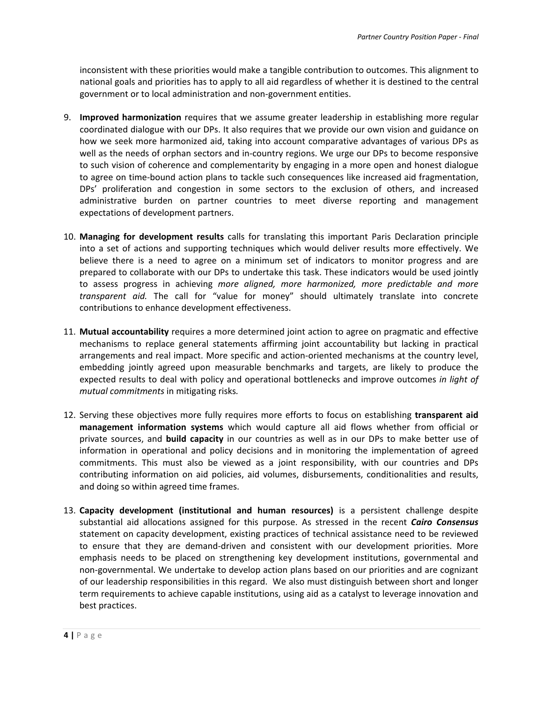inconsistent with these priorities would make a tangible contribution to outcomes. This alignment to national goals and priorities has to apply to all aid regardless of whether it is destined to the central government or to local administration and non‐government entities.

- 9. **Improved harmonization** requires that we assume greater leadership in establishing more regular coordinated dialogue with our DPs. It also requires that we provide our own vision and guidance on how we seek more harmonized aid, taking into account comparative advantages of various DPs as well as the needs of orphan sectors and in‐country regions. We urge our DPs to become responsive to such vision of coherence and complementarity by engaging in a more open and honest dialogue to agree on time‐bound action plans to tackle such consequences like increased aid fragmentation, DPs' proliferation and congestion in some sectors to the exclusion of others, and increased administrative burden on partner countries to meet diverse reporting and management expectations of development partners.
- 10. **Managing for development results** calls for translating this important Paris Declaration principle into a set of actions and supporting techniques which would deliver results more effectively. We believe there is a need to agree on a minimum set of indicators to monitor progress and are prepared to collaborate with our DPs to undertake this task. These indicators would be used jointly to assess progress in achieving *more aligned, more harmonized, more predictable and more transparent aid.* The call for "value for money" should ultimately translate into concrete contributions to enhance development effectiveness.
- 11. **Mutual accountability** requires a more determined joint action to agree on pragmatic and effective mechanisms to replace general statements affirming joint accountability but lacking in practical arrangements and real impact. More specific and action‐oriented mechanisms at the country level, embedding jointly agreed upon measurable benchmarks and targets, are likely to produce the expected results to deal with policy and operational bottlenecks and improve outcomes *in light of mutual commitments* in mitigating risks*.*
- 12. Serving these objectives more fully requires more efforts to focus on establishing **transparent aid management information systems** which would capture all aid flows whether from official or private sources, and **build capacity** in our countries as well as in our DPs to make better use of information in operational and policy decisions and in monitoring the implementation of agreed commitments. This must also be viewed as a joint responsibility, with our countries and DPs contributing information on aid policies, aid volumes, disbursements, conditionalities and results, and doing so within agreed time frames.
- 13. **Capacity development (institutional and human resources)** is a persistent challenge despite substantial aid allocations assigned for this purpose. As stressed in the recent *Cairo Consensus* statement on capacity development, existing practices of technical assistance need to be reviewed to ensure that they are demand‐driven and consistent with our development priorities. More emphasis needs to be placed on strengthening key development institutions, governmental and non‐governmental. We undertake to develop action plans based on our priorities and are cognizant of our leadership responsibilities in this regard. We also must distinguish between short and longer term requirements to achieve capable institutions, using aid as a catalyst to leverage innovation and best practices.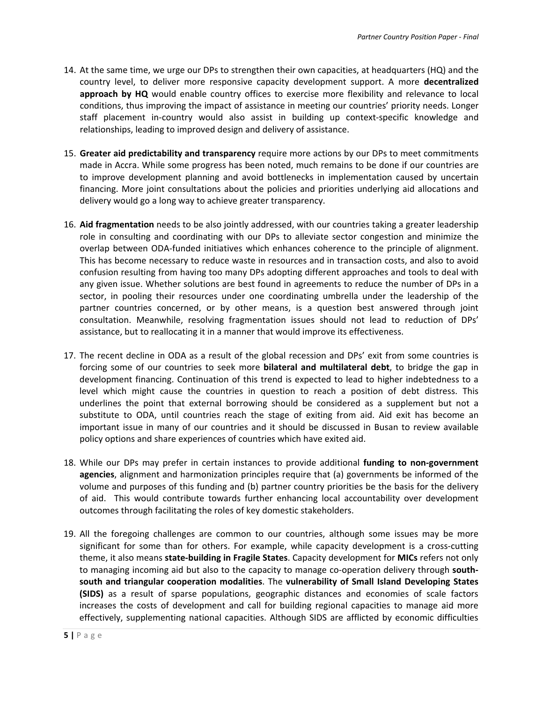- 14. At the same time, we urge our DPs to strengthen their own capacities, at headquarters (HQ) and the country level, to deliver more responsive capacity development support. A more **decentralized approach by HQ** would enable country offices to exercise more flexibility and relevance to local conditions, thus improving the impact of assistance in meeting our countries' priority needs. Longer staff placement in‐country would also assist in building up context‐specific knowledge and relationships, leading to improved design and delivery of assistance.
- 15. **Greater aid predictability and transparency** require more actions by our DPs to meet commitments made in Accra. While some progress has been noted, much remains to be done if our countries are to improve development planning and avoid bottlenecks in implementation caused by uncertain financing. More joint consultations about the policies and priorities underlying aid allocations and delivery would go a long way to achieve greater transparency.
- 16. **Aid fragmentation** needs to be also jointly addressed, with our countries taking a greater leadership role in consulting and coordinating with our DPs to alleviate sector congestion and minimize the overlap between ODA‐funded initiatives which enhances coherence to the principle of alignment. This has become necessary to reduce waste in resources and in transaction costs, and also to avoid confusion resulting from having too many DPs adopting different approaches and tools to deal with any given issue. Whether solutions are best found in agreements to reduce the number of DPs in a sector, in pooling their resources under one coordinating umbrella under the leadership of the partner countries concerned, or by other means, is a question best answered through joint consultation. Meanwhile, resolving fragmentation issues should not lead to reduction of DPs' assistance, but to reallocating it in a manner that would improve its effectiveness.
- 17. The recent decline in ODA as a result of the global recession and DPs' exit from some countries is forcing some of our countries to seek more **bilateral and multilateral debt**, to bridge the gap in development financing. Continuation of this trend is expected to lead to higher indebtedness to a level which might cause the countries in question to reach a position of debt distress. This underlines the point that external borrowing should be considered as a supplement but not a substitute to ODA, until countries reach the stage of exiting from aid. Aid exit has become an important issue in many of our countries and it should be discussed in Busan to review available policy options and share experiences of countries which have exited aid.
- 18. While our DPs may prefer in certain instances to provide additional **funding to non‐government agencies**, alignment and harmonization principles require that (a) governments be informed of the volume and purposes of this funding and (b) partner country priorities be the basis for the delivery of aid. This would contribute towards further enhancing local accountability over development outcomes through facilitating the roles of key domestic stakeholders.
- 19. All the foregoing challenges are common to our countries, although some issues may be more significant for some than for others. For example, while capacity development is a cross-cutting theme, it also means **state‐building in Fragile States**. Capacity development for **MICs** refers not only to managing incoming aid but also to the capacity to manage co‐operation delivery through **south‐ south and triangular cooperation modalities**. The **vulnerability of Small Island Developing States (SIDS)** as a result of sparse populations, geographic distances and economies of scale factors increases the costs of development and call for building regional capacities to manage aid more effectively, supplementing national capacities. Although SIDS are afflicted by economic difficulties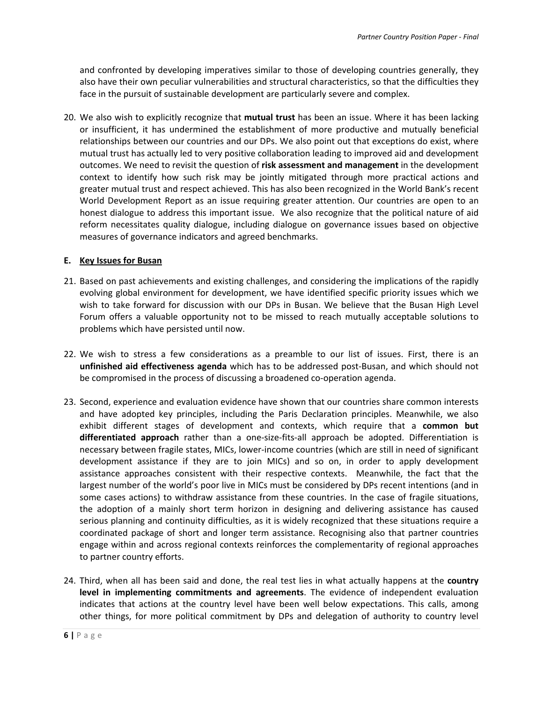and confronted by developing imperatives similar to those of developing countries generally, they also have their own peculiar vulnerabilities and structural characteristics, so that the difficulties they face in the pursuit of sustainable development are particularly severe and complex.

20. We also wish to explicitly recognize that **mutual trust** has been an issue. Where it has been lacking or insufficient, it has undermined the establishment of more productive and mutually beneficial relationships between our countries and our DPs. We also point out that exceptions do exist, where mutual trust has actually led to very positive collaboration leading to improved aid and development outcomes. We need to revisit the question of **risk assessment and management** in the development context to identify how such risk may be jointly mitigated through more practical actions and greater mutual trust and respect achieved. This has also been recognized in the World Bank's recent World Development Report as an issue requiring greater attention. Our countries are open to an honest dialogue to address this important issue. We also recognize that the political nature of aid reform necessitates quality dialogue, including dialogue on governance issues based on objective measures of governance indicators and agreed benchmarks.

#### **E. Key Issues for Busan**

- 21. Based on past achievements and existing challenges, and considering the implications of the rapidly evolving global environment for development, we have identified specific priority issues which we wish to take forward for discussion with our DPs in Busan. We believe that the Busan High Level Forum offers a valuable opportunity not to be missed to reach mutually acceptable solutions to problems which have persisted until now.
- 22. We wish to stress a few considerations as a preamble to our list of issues. First, there is an **unfinished aid effectiveness agenda** which has to be addressed post‐Busan, and which should not be compromised in the process of discussing a broadened co-operation agenda.
- 23. Second, experience and evaluation evidence have shown that our countries share common interests and have adopted key principles, including the Paris Declaration principles. Meanwhile, we also exhibit different stages of development and contexts, which require that a **common but differentiated approach** rather than a one‐size‐fits‐all approach be adopted. Differentiation is necessary between fragile states, MICs, lower‐income countries (which are still in need of significant development assistance if they are to join MICs) and so on, in order to apply development assistance approaches consistent with their respective contexts. Meanwhile, the fact that the largest number of the world's poor live in MICs must be considered by DPs recent intentions (and in some cases actions) to withdraw assistance from these countries. In the case of fragile situations, the adoption of a mainly short term horizon in designing and delivering assistance has caused serious planning and continuity difficulties, as it is widely recognized that these situations require a coordinated package of short and longer term assistance. Recognising also that partner countries engage within and across regional contexts reinforces the complementarity of regional approaches to partner country efforts.
- 24. Third, when all has been said and done, the real test lies in what actually happens at the **country level in implementing commitments and agreements**. The evidence of independent evaluation indicates that actions at the country level have been well below expectations. This calls, among other things, for more political commitment by DPs and delegation of authority to country level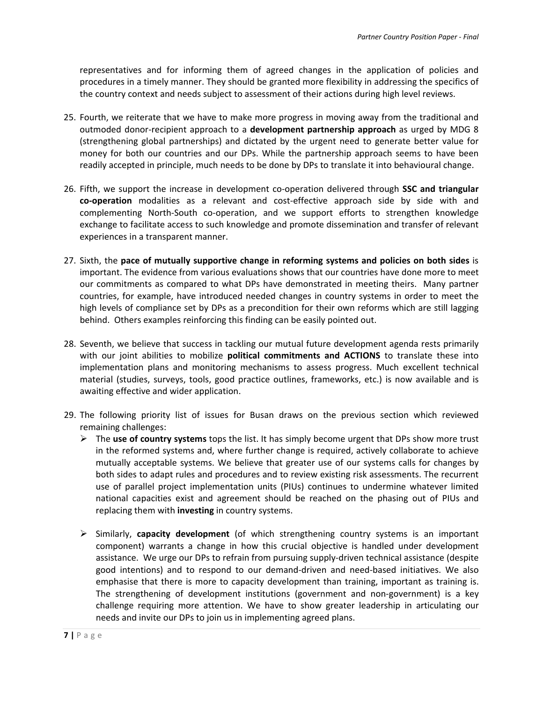representatives and for informing them of agreed changes in the application of policies and procedures in a timely manner. They should be granted more flexibility in addressing the specifics of the country context and needs subject to assessment of their actions during high level reviews.

- 25. Fourth, we reiterate that we have to make more progress in moving away from the traditional and outmoded donor‐recipient approach to a **development partnership approach** as urged by MDG 8 (strengthening global partnerships) and dictated by the urgent need to generate better value for money for both our countries and our DPs. While the partnership approach seems to have been readily accepted in principle, much needs to be done by DPs to translate it into behavioural change.
- 26. Fifth, we support the increase in development co‐operation delivered through **SSC and triangular co‐operation** modalities as a relevant and cost‐effective approach side by side with and complementing North‐South co‐operation, and we support efforts to strengthen knowledge exchange to facilitate access to such knowledge and promote dissemination and transfer of relevant experiences in a transparent manner.
- 27. Sixth, the **pace of mutually supportive change in reforming systems and policies on both sides** is important. The evidence from various evaluations shows that our countries have done more to meet our commitments as compared to what DPs have demonstrated in meeting theirs. Many partner countries, for example, have introduced needed changes in country systems in order to meet the high levels of compliance set by DPs as a precondition for their own reforms which are still lagging behind. Others examples reinforcing this finding can be easily pointed out.
- 28. Seventh, we believe that success in tackling our mutual future development agenda rests primarily with our joint abilities to mobilize **political commitments and ACTIONS** to translate these into implementation plans and monitoring mechanisms to assess progress. Much excellent technical material (studies, surveys, tools, good practice outlines, frameworks, etc.) is now available and is awaiting effective and wider application.
- 29. The following priority list of issues for Busan draws on the previous section which reviewed remaining challenges:
	- ¾ The **use of country systems** tops the list. It has simply become urgent that DPs show more trust in the reformed systems and, where further change is required, actively collaborate to achieve mutually acceptable systems. We believe that greater use of our systems calls for changes by both sides to adapt rules and procedures and to review existing risk assessments. The recurrent use of parallel project implementation units (PIUs) continues to undermine whatever limited national capacities exist and agreement should be reached on the phasing out of PIUs and replacing them with **investing** in country systems.
	- ¾ Similarly, **capacity development** (of which strengthening country systems is an important component) warrants a change in how this crucial objective is handled under development assistance. We urge our DPs to refrain from pursuing supply‐driven technical assistance (despite good intentions) and to respond to our demand‐driven and need‐based initiatives. We also emphasise that there is more to capacity development than training, important as training is. The strengthening of development institutions (government and non‐government) is a key challenge requiring more attention. We have to show greater leadership in articulating our needs and invite our DPs to join us in implementing agreed plans.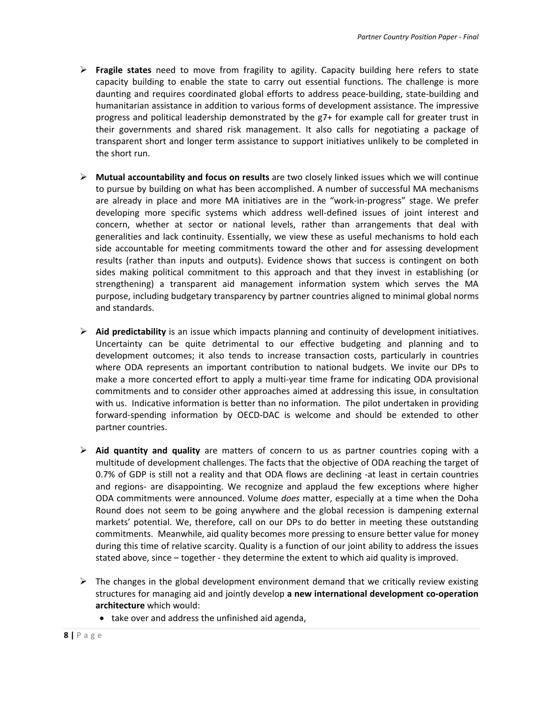- ¾ **Fragile states** need to move from fragility to agility. Capacity building here refers to state capacity building to enable the state to carry out essential functions. The challenge is more daunting and requires coordinated global efforts to address peace‐building, state‐building and humanitarian assistance in addition to various forms of development assistance. The impressive progress and political leadership demonstrated by the g7+ for example call for greater trust in their governments and shared risk management. It also calls for negotiating a package of transparent short and longer term assistance to support initiatives unlikely to be completed in the short run.
- ¾ **Mutual accountability and focus on results** are two closely linked issues which we will continue to pursue by building on what has been accomplished. A number of successful MA mechanisms are already in place and more MA initiatives are in the "work-in-progress" stage. We prefer developing more specific systems which address well‐defined issues of joint interest and concern, whether at sector or national levels, rather than arrangements that deal with generalities and lack continuity. Essentially, we view these as useful mechanisms to hold each side accountable for meeting commitments toward the other and for assessing development results (rather than inputs and outputs). Evidence shows that success is contingent on both sides making political commitment to this approach and that they invest in establishing (or strengthening) a transparent aid management information system which serves the MA purpose, including budgetary transparency by partner countries aligned to minimal global norms and standards.
- ¾ **Aid predictability** is an issue which impacts planning and continuity of development initiatives. Uncertainty can be quite detrimental to our effective budgeting and planning and to development outcomes; it also tends to increase transaction costs, particularly in countries where ODA represents an important contribution to national budgets. We invite our DPs to make a more concerted effort to apply a multi-year time frame for indicating ODA provisional commitments and to consider other approaches aimed at addressing this issue, in consultation with us. Indicative information is better than no information. The pilot undertaken in providing forward‐spending information by OECD‐DAC is welcome and should be extended to other partner countries.
- ¾ **Aid quantity and quality** are matters of concern to us as partner countries coping with a multitude of development challenges. The facts that the objective of ODA reaching the target of 0.7% of GDP is still not a reality and that ODA flows are declining -at least in certain countries and regions- are disappointing. We recognize and applaud the few exceptions where higher ODA commitments were announced. Volume *does* matter, especially at a time when the Doha Round does not seem to be going anywhere and the global recession is dampening external markets' potential. We, therefore, call on our DPs to do better in meeting these outstanding commitments. Meanwhile, aid quality becomes more pressing to ensure better value for money during this time of relative scarcity. Quality is a function of our joint ability to address the issues stated above, since – together ‐ they determine the extent to which aid quality is improved.
- $\triangleright$  The changes in the global development environment demand that we critically review existing structures for managing aid and jointly develop **a new international development co‐operation architecture** which would:
	- take over and address the unfinished aid agenda,